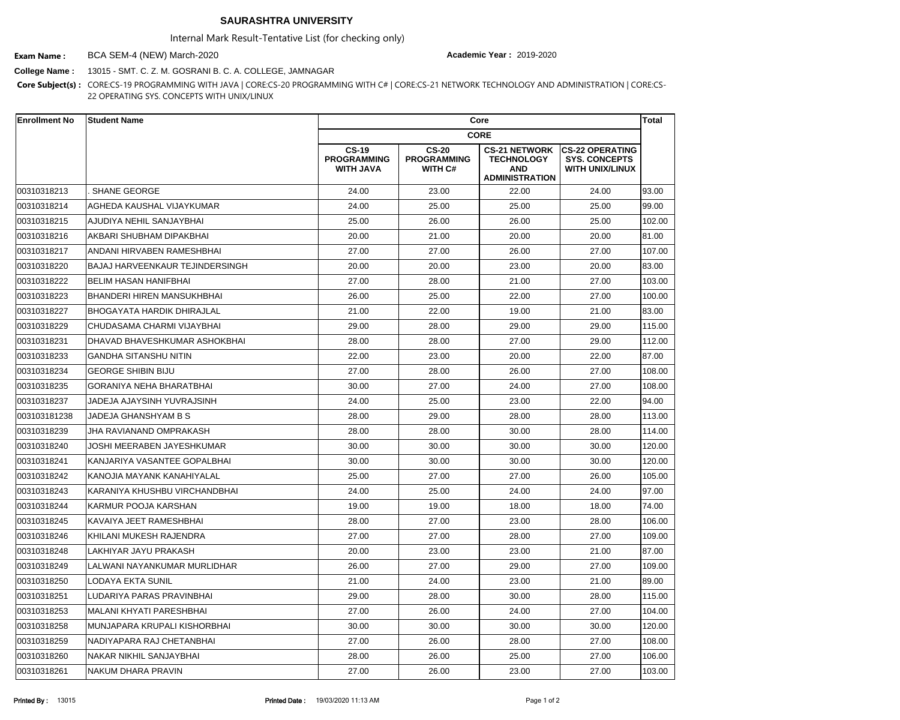## **SAURASHTRA UNIVERSITY**

Internal Mark Result-Tentative List (for checking only)

BCA SEM-4 (NEW) March-2020 **Exam Name : Academic Year :** 2019-2020

**College Name :** 13015 - SMT. C. Z. M. GOSRANI B. C. A. COLLEGE, JAMNAGAR

**Core Subject(s) :** CORE:CS-19 PROGRAMMING WITH JAVA | CORE:CS-20 PROGRAMMING WITH C# | CORE:CS-21 NETWORK TECHNOLOGY AND ADMINISTRATION | CORE:CS-22 OPERATING SYS. CONCEPTS WITH UNIX/LINUX

| <b>Enrollment No</b> | <b>Student Name</b>              | Core                                                   |                                                      |                                                                                  |                                                                          | <b>Total</b> |
|----------------------|----------------------------------|--------------------------------------------------------|------------------------------------------------------|----------------------------------------------------------------------------------|--------------------------------------------------------------------------|--------------|
|                      |                                  | <b>CORE</b>                                            |                                                      |                                                                                  |                                                                          |              |
|                      |                                  | <b>CS-19</b><br><b>PROGRAMMING</b><br><b>WITH JAVA</b> | <b>CS-20</b><br><b>PROGRAMMING</b><br><b>WITH C#</b> | <b>CS-21 NETWORK</b><br><b>TECHNOLOGY</b><br><b>AND</b><br><b>ADMINISTRATION</b> | <b>CS-22 OPERATING</b><br><b>SYS. CONCEPTS</b><br><b>WITH UNIX/LINUX</b> |              |
| 00310318213          | <b>SHANE GEORGE</b>              | 24.00                                                  | 23.00                                                | 22.00                                                                            | 24.00                                                                    | 93.00        |
| 00310318214          | <b>AGHEDA KAUSHAL VIJAYKUMAR</b> | 24.00                                                  | 25.00                                                | 25.00                                                                            | 25.00                                                                    | 99.00        |
| 00310318215          | IAJUDIYA NEHIL SANJAYBHAI        | 25.00                                                  | 26.00                                                | 26.00                                                                            | 25.00                                                                    | 102.00       |
| 00310318216          | AKBARI SHUBHAM DIPAKBHAI         | 20.00                                                  | 21.00                                                | 20.00                                                                            | 20.00                                                                    | 81.00        |
| 00310318217          | ANDANI HIRVABEN RAMESHBHAI       | 27.00                                                  | 27.00                                                | 26.00                                                                            | 27.00                                                                    | 107.00       |
| 00310318220          | BAJAJ HARVEENKAUR TEJINDERSINGH  | 20.00                                                  | 20.00                                                | 23.00                                                                            | 20.00                                                                    | 83.00        |
| 00310318222          | <b>BELIM HASAN HANIFBHAI</b>     | 27.00                                                  | 28.00                                                | 21.00                                                                            | 27.00                                                                    | 103.00       |
| 00310318223          | BHANDERI HIREN MANSUKHBHAI       | 26.00                                                  | 25.00                                                | 22.00                                                                            | 27.00                                                                    | 100.00       |
| 00310318227          | BHOGAYATA HARDIK DHIRAJLAL       | 21.00                                                  | 22.00                                                | 19.00                                                                            | 21.00                                                                    | 83.00        |
| 00310318229          | CHUDASAMA CHARMI VIJAYBHAI       | 29.00                                                  | 28.00                                                | 29.00                                                                            | 29.00                                                                    | 115.00       |
| 00310318231          | DHAVAD BHAVESHKUMAR ASHOKBHAI    | 28.00                                                  | 28.00                                                | 27.00                                                                            | 29.00                                                                    | 112.00       |
| 00310318233          | <b>GANDHA SITANSHU NITIN</b>     | 22.00                                                  | 23.00                                                | 20.00                                                                            | 22.00                                                                    | 87.00        |
| 00310318234          | <b>GEORGE SHIBIN BIJU</b>        | 27.00                                                  | 28.00                                                | 26.00                                                                            | 27.00                                                                    | 108.00       |
| 00310318235          | <b>GORANIYA NEHA BHARATBHAI</b>  | 30.00                                                  | 27.00                                                | 24.00                                                                            | 27.00                                                                    | 108.00       |
| 00310318237          | JADEJA AJAYSINH YUVRAJSINH       | 24.00                                                  | 25.00                                                | 23.00                                                                            | 22.00                                                                    | 94.00        |
| 003103181238         | JADEJA GHANSHYAM B S             | 28.00                                                  | 29.00                                                | 28.00                                                                            | 28.00                                                                    | 113.00       |
| 00310318239          | <b>JHA RAVIANAND OMPRAKASH</b>   | 28.00                                                  | 28.00                                                | 30.00                                                                            | 28.00                                                                    | 114.00       |
| 00310318240          | JOSHI MEERABEN JAYESHKUMAR       | 30.00                                                  | 30.00                                                | 30.00                                                                            | 30.00                                                                    | 120.00       |
| 00310318241          | KANJARIYA VASANTEE GOPALBHAI     | 30.00                                                  | 30.00                                                | 30.00                                                                            | 30.00                                                                    | 120.00       |
| 00310318242          | KANOJIA MAYANK KANAHIYALAL       | 25.00                                                  | 27.00                                                | 27.00                                                                            | 26.00                                                                    | 105.00       |
| 00310318243          | KARANIYA KHUSHBU VIRCHANDBHAI    | 24.00                                                  | 25.00                                                | 24.00                                                                            | 24.00                                                                    | 97.00        |
| 00310318244          | KARMUR POOJA KARSHAN             | 19.00                                                  | 19.00                                                | 18.00                                                                            | 18.00                                                                    | 74.00        |
| 00310318245          | KAVAIYA JEET RAMESHBHAI          | 28.00                                                  | 27.00                                                | 23.00                                                                            | 28.00                                                                    | 106.00       |
| 00310318246          | KHILANI MUKESH RAJENDRA          | 27.00                                                  | 27.00                                                | 28.00                                                                            | 27.00                                                                    | 109.00       |
| 00310318248          | ILAKHIYAR JAYU PRAKASH           | 20.00                                                  | 23.00                                                | 23.00                                                                            | 21.00                                                                    | 87.00        |
| 00310318249          | LALWANI NAYANKUMAR MURLIDHAR     | 26.00                                                  | 27.00                                                | 29.00                                                                            | 27.00                                                                    | 109.00       |
| 00310318250          | <b>LODAYA EKTA SUNIL</b>         | 21.00                                                  | 24.00                                                | 23.00                                                                            | 21.00                                                                    | 89.00        |
| 00310318251          | LUDARIYA PARAS PRAVINBHAI        | 29.00                                                  | 28.00                                                | 30.00                                                                            | 28.00                                                                    | 115.00       |
| 00310318253          | MALANI KHYATI PARESHBHAI         | 27.00                                                  | 26.00                                                | 24.00                                                                            | 27.00                                                                    | 104.00       |
| 00310318258          | MUNJAPARA KRUPALI KISHORBHAI     | 30.00                                                  | 30.00                                                | 30.00                                                                            | 30.00                                                                    | 120.00       |
| 00310318259          | NADIYAPARA RAJ CHETANBHAI        | 27.00                                                  | 26.00                                                | 28.00                                                                            | 27.00                                                                    | 108.00       |
| 00310318260          | NAKAR NIKHIL SANJAYBHAI          | 28.00                                                  | 26.00                                                | 25.00                                                                            | 27.00                                                                    | 106.00       |
| 00310318261          | NAKUM DHARA PRAVIN               | 27.00                                                  | 26.00                                                | 23.00                                                                            | 27.00                                                                    | 103.00       |